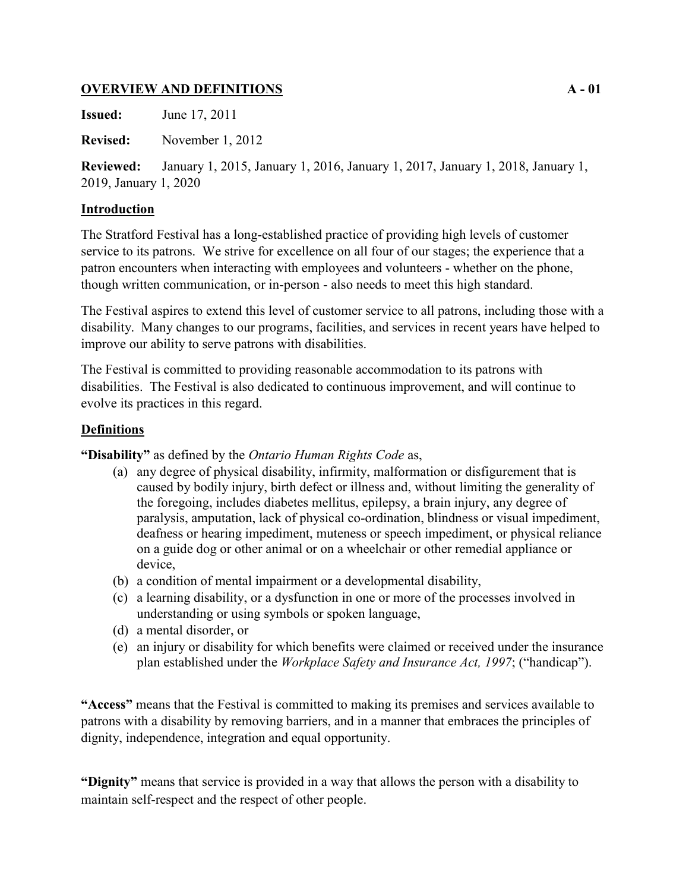## **OVERVIEW AND DEFINITIONS A - 01**

**Issued:** June 17, 2011

**Revised:** November 1, 2012

**Reviewed:** January 1, 2015, January 1, 2016, January 1, 2017, January 1, 2018, January 1, 2019, January 1, 2020

# **Introduction**

The Stratford Festival has a long-established practice of providing high levels of customer service to its patrons. We strive for excellence on all four of our stages; the experience that a patron encounters when interacting with employees and volunteers - whether on the phone, though written communication, or in-person - also needs to meet this high standard.

The Festival aspires to extend this level of customer service to all patrons, including those with a disability. Many changes to our programs, facilities, and services in recent years have helped to improve our ability to serve patrons with disabilities.

The Festival is committed to providing reasonable accommodation to its patrons with disabilities. The Festival is also dedicated to continuous improvement, and will continue to evolve its practices in this regard.

# **Definitions**

**"Disability"** as defined by the *Ontario Human Rights Code* as,

- (a) any degree of physical disability, infirmity, malformation or disfigurement that is caused by bodily injury, birth defect or illness and, without limiting the generality of the foregoing, includes diabetes mellitus, epilepsy, a brain injury, any degree of paralysis, amputation, lack of physical co-ordination, blindness or visual impediment, deafness or hearing impediment, muteness or speech impediment, or physical reliance on a guide dog or other animal or on a wheelchair or other remedial appliance or device,
- (b) a condition of mental impairment or a developmental disability,
- (c) a learning disability, or a dysfunction in one or more of the processes involved in understanding or using symbols or spoken language,
- (d) a mental disorder, or
- (e) an injury or disability for which benefits were claimed or received under the insurance plan established under the *Workplace Safety and Insurance Act, 1997*; ("handicap").

**"Access"** means that the Festival is committed to making its premises and services available to patrons with a disability by removing barriers, and in a manner that embraces the principles of dignity, independence, integration and equal opportunity.

**"Dignity"** means that service is provided in a way that allows the person with a disability to maintain self-respect and the respect of other people.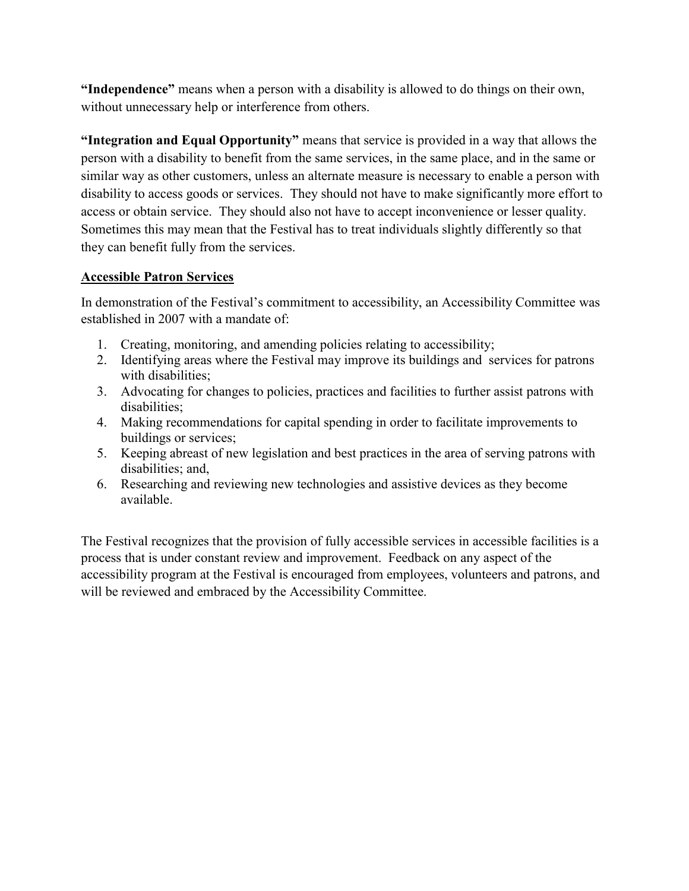**"Independence"** means when a person with a disability is allowed to do things on their own, without unnecessary help or interference from others.

**"Integration and Equal Opportunity"** means that service is provided in a way that allows the person with a disability to benefit from the same services, in the same place, and in the same or similar way as other customers, unless an alternate measure is necessary to enable a person with disability to access goods or services. They should not have to make significantly more effort to access or obtain service. They should also not have to accept inconvenience or lesser quality. Sometimes this may mean that the Festival has to treat individuals slightly differently so that they can benefit fully from the services.

# **Accessible Patron Services**

In demonstration of the Festival's commitment to accessibility, an Accessibility Committee was established in 2007 with a mandate of:

- 1. Creating, monitoring, and amending policies relating to accessibility;
- 2. Identifying areas where the Festival may improve its buildings and services for patrons with disabilities;
- 3. Advocating for changes to policies, practices and facilities to further assist patrons with disabilities;
- 4. Making recommendations for capital spending in order to facilitate improvements to buildings or services;
- 5. Keeping abreast of new legislation and best practices in the area of serving patrons with disabilities; and,
- 6. Researching and reviewing new technologies and assistive devices as they become available.

The Festival recognizes that the provision of fully accessible services in accessible facilities is a process that is under constant review and improvement. Feedback on any aspect of the accessibility program at the Festival is encouraged from employees, volunteers and patrons, and will be reviewed and embraced by the Accessibility Committee.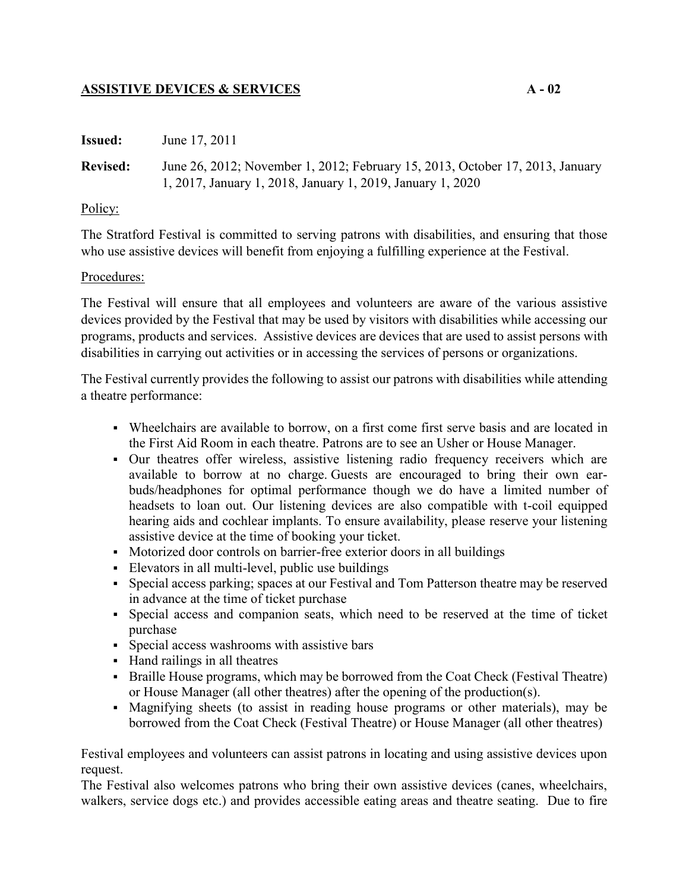## **ASSISTIVE DEVICES & SERVICES A - 02**

| <b>Issued:</b>  | June 17, 2011                                                                                                                               |
|-----------------|---------------------------------------------------------------------------------------------------------------------------------------------|
| <b>Revised:</b> | June 26, 2012; November 1, 2012; February 15, 2013, October 17, 2013, January<br>1, 2017, January 1, 2018, January 1, 2019, January 1, 2020 |

### Policy:

The Stratford Festival is committed to serving patrons with disabilities, and ensuring that those who use assistive devices will benefit from enjoying a fulfilling experience at the Festival.

### Procedures:

The Festival will ensure that all employees and volunteers are aware of the various assistive devices provided by the Festival that may be used by visitors with disabilities while accessing our programs, products and services. Assistive devices are devices that are used to assist persons with disabilities in carrying out activities or in accessing the services of persons or organizations.

The Festival currently provides the following to assist our patrons with disabilities while attending a theatre performance:

- Wheelchairs are available to borrow, on a first come first serve basis and are located in the First Aid Room in each theatre. Patrons are to see an Usher or House Manager.
- Our theatres offer wireless, assistive listening radio frequency receivers which are available to borrow at no charge. Guests are encouraged to bring their own earbuds/headphones for optimal performance though we do have a limited number of headsets to loan out. Our listening devices are also compatible with t-coil equipped hearing aids and cochlear implants. To ensure availability, please reserve your listening assistive device at the time of booking your ticket.
- Motorized door controls on barrier-free exterior doors in all buildings
- Elevators in all multi-level, public use buildings
- Special access parking; spaces at our Festival and Tom Patterson theatre may be reserved in advance at the time of ticket purchase
- Special access and companion seats, which need to be reserved at the time of ticket purchase
- Special access washrooms with assistive bars
- Hand railings in all theatres
- Braille House programs, which may be borrowed from the Coat Check (Festival Theatre) or House Manager (all other theatres) after the opening of the production(s).
- Magnifying sheets (to assist in reading house programs or other materials), may be borrowed from the Coat Check (Festival Theatre) or House Manager (all other theatres)

Festival employees and volunteers can assist patrons in locating and using assistive devices upon request.

The Festival also welcomes patrons who bring their own assistive devices (canes, wheelchairs, walkers, service dogs etc.) and provides accessible eating areas and theatre seating. Due to fire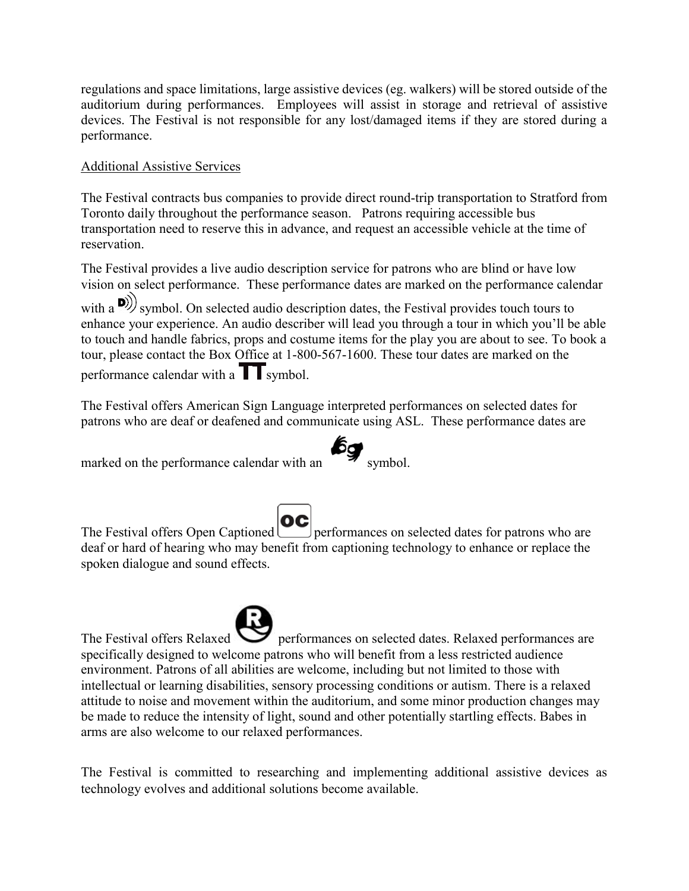regulations and space limitations, large assistive devices (eg. walkers) will be stored outside of the auditorium during performances. Employees will assist in storage and retrieval of assistive devices. The Festival is not responsible for any lost/damaged items if they are stored during a performance.

# Additional Assistive Services

The Festival contracts bus companies to provide direct round-trip transportation to Stratford from Toronto daily throughout the performance season. Patrons requiring accessible bus transportation need to reserve this in advance, and request an accessible vehicle at the time of reservation.

The Festival provides a live audio description service for patrons who are blind or have low vision on select performance. These performance dates are marked on the performance calendar with a  $\mathbf{D}$ ) symbol. On selected audio description dates, the Festival provides touch tours to enhance your experience. An audio describer will lead you through a tour in which you'll be able to touch and handle fabrics, props and costume items for the play you are about to see. To book a tour, please contact the Box Office at 1-800-567-1600. These tour dates are marked on the performance calendar with a  $\prod$  symbol.

The Festival offers American Sign Language interpreted performances on selected dates for patrons who are deaf or deafened and communicate using ASL. These performance dates are

marked on the performance calendar with an symbol.

The Festival offers Open Captioned **OC** performances on selected dates for patrons who are deaf or hard of hearing who may benefit from captioning technology to enhance or replace the spoken dialogue and sound effects.

The Festival offers Relaxed **Performances** on selected dates. Relaxed performances are specifically designed to welcome patrons who will benefit from a less restricted audience environment. Patrons of all abilities are welcome, including but not limited to those with intellectual or learning disabilities, sensory processing conditions or autism. There is a relaxed attitude to noise and movement within the auditorium, and some minor production changes may be made to reduce the intensity of light, sound and other potentially startling effects. Babes in arms are also welcome to our relaxed performances.

The Festival is committed to researching and implementing additional assistive devices as technology evolves and additional solutions become available.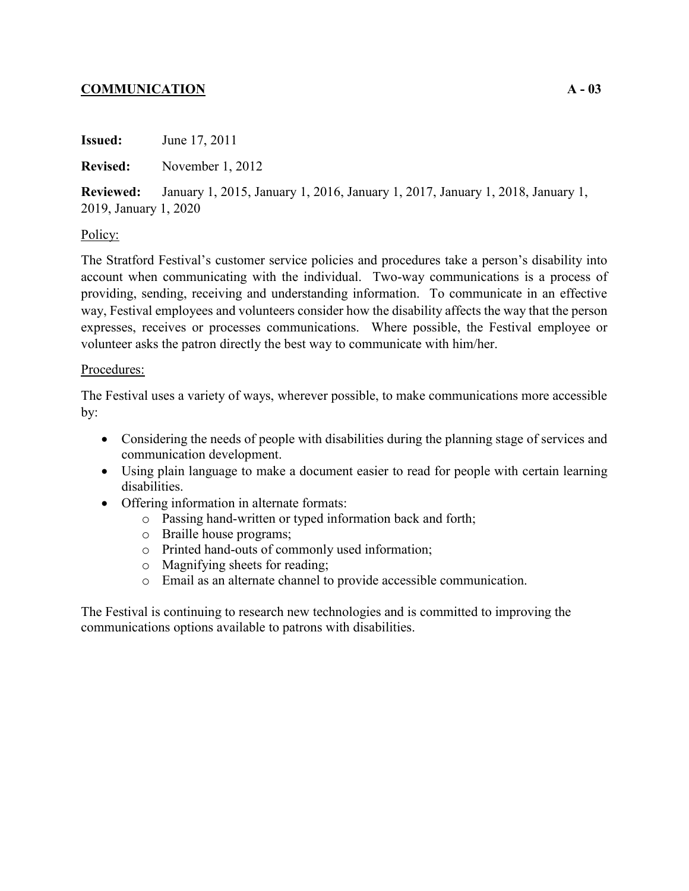# **COMMUNICATION A - 03**

**Issued:** June 17, 2011

**Revised:** November 1, 2012

**Reviewed:** January 1, 2015, January 1, 2016, January 1, 2017, January 1, 2018, January 1, 2019, January 1, 2020

### Policy:

The Stratford Festival's customer service policies and procedures take a person's disability into account when communicating with the individual. Two-way communications is a process of providing, sending, receiving and understanding information. To communicate in an effective way, Festival employees and volunteers consider how the disability affects the way that the person expresses, receives or processes communications. Where possible, the Festival employee or volunteer asks the patron directly the best way to communicate with him/her.

#### Procedures:

The Festival uses a variety of ways, wherever possible, to make communications more accessible by:

- Considering the needs of people with disabilities during the planning stage of services and communication development.
- Using plain language to make a document easier to read for people with certain learning disabilities.
- Offering information in alternate formats:
	- o Passing hand-written or typed information back and forth;
	- o Braille house programs;
	- o Printed hand-outs of commonly used information;
	- o Magnifying sheets for reading;
	- o Email as an alternate channel to provide accessible communication.

The Festival is continuing to research new technologies and is committed to improving the communications options available to patrons with disabilities.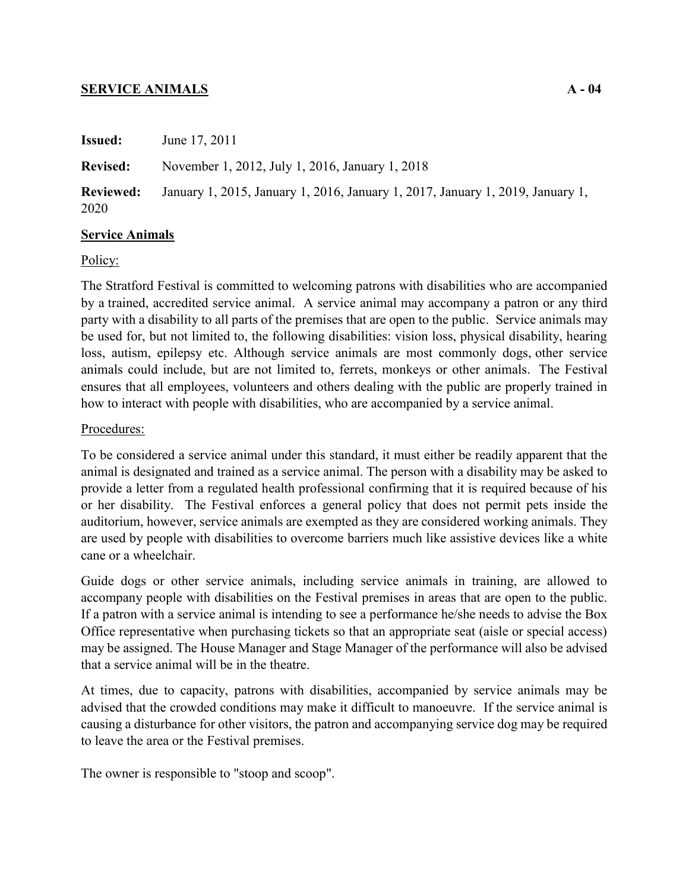### **SERVICE ANIMALS A - 04**

| <b>Issued:</b>           | June 17, 2011                                                                  |
|--------------------------|--------------------------------------------------------------------------------|
| <b>Revised:</b>          | November 1, 2012, July 1, 2016, January 1, 2018                                |
| <b>Reviewed:</b><br>2020 | January 1, 2015, January 1, 2016, January 1, 2017, January 1, 2019, January 1, |

### **Service Animals**

#### Policy:

The Stratford Festival is committed to welcoming patrons with disabilities who are accompanied by a trained, accredited service animal. A service animal may accompany a patron or any third party with a disability to all parts of the premises that are open to the public. Service animals may be used for, but not limited to, the following disabilities: vision loss, physical disability, hearing loss, autism, epilepsy etc. Although service animals are most commonly dogs, other service animals could include, but are not limited to, ferrets, monkeys or other animals. The Festival ensures that all employees, volunteers and others dealing with the public are properly trained in how to interact with people with disabilities, who are accompanied by a service animal.

### Procedures:

To be considered a service animal under this standard, it must either be readily apparent that the animal is designated and trained as a service animal. The person with a disability may be asked to provide a letter from a regulated health professional confirming that it is required because of his or her disability.The Festival enforces a general policy that does not permit pets inside the auditorium, however, service animals are exempted as they are considered working animals. They are used by people with disabilities to overcome barriers much like assistive devices like a white cane or a wheelchair.

Guide dogs or other service animals, including service animals in training, are allowed to accompany people with disabilities on the Festival premises in areas that are open to the public. If a patron with a service animal is intending to see a performance he/she needs to advise the Box Office representative when purchasing tickets so that an appropriate seat (aisle or special access) may be assigned. The House Manager and Stage Manager of the performance will also be advised that a service animal will be in the theatre.

At times, due to capacity, patrons with disabilities, accompanied by service animals may be advised that the crowded conditions may make it difficult to manoeuvre. If the service animal is causing a disturbance for other visitors, the patron and accompanying service dog may be required to leave the area or the Festival premises.

The owner is responsible to "stoop and scoop".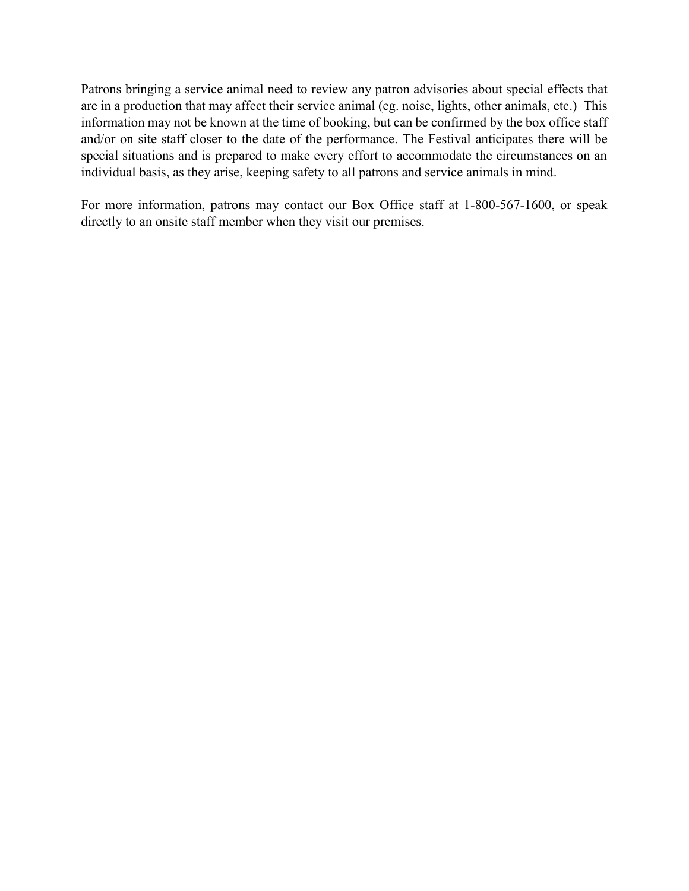Patrons bringing a service animal need to review any patron advisories about special effects that are in a production that may affect their service animal (eg. noise, lights, other animals, etc.) This information may not be known at the time of booking, but can be confirmed by the box office staff and/or on site staff closer to the date of the performance. The Festival anticipates there will be special situations and is prepared to make every effort to accommodate the circumstances on an individual basis, as they arise, keeping safety to all patrons and service animals in mind.

For more information, patrons may contact our Box Office staff at 1-800-567-1600, or speak directly to an onsite staff member when they visit our premises.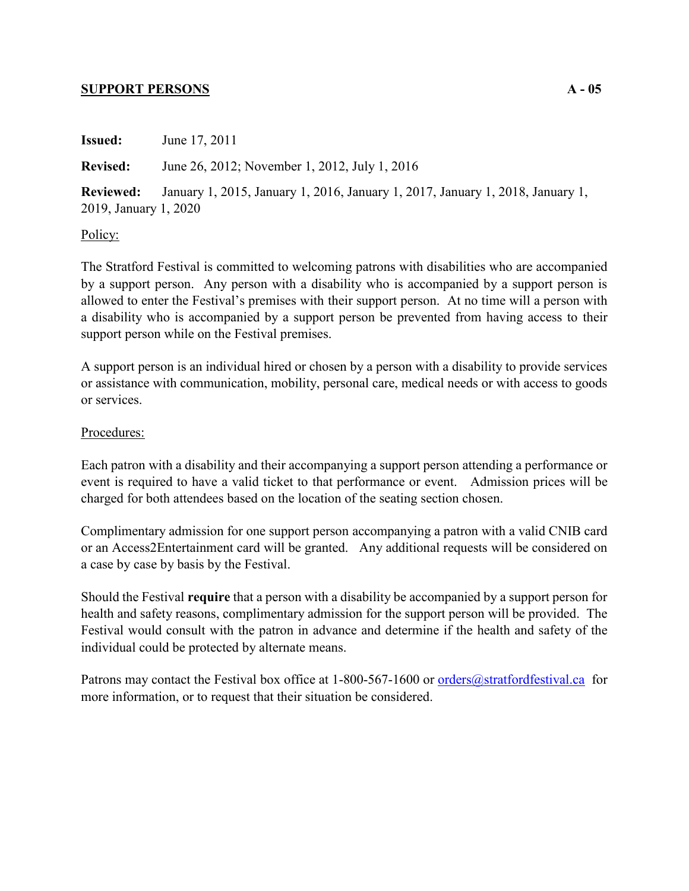#### **SUPPORT PERSONS A - 05**

**Issued:** June 17, 2011 **Revised:** June 26, 2012; November 1, 2012, July 1, 2016 **Reviewed:** January 1, 2015, January 1, 2016, January 1, 2017, January 1, 2018, January 1, 2019, January 1, 2020

#### Policy:

The Stratford Festival is committed to welcoming patrons with disabilities who are accompanied by a support person. Any person with a disability who is accompanied by a support person is allowed to enter the Festival's premises with their support person. At no time will a person with a disability who is accompanied by a support person be prevented from having access to their support person while on the Festival premises.

A support person is an individual hired or chosen by a person with a disability to provide services or assistance with communication, mobility, personal care, medical needs or with access to goods or services.

#### Procedures:

Each patron with a disability and their accompanying a support person attending a performance or event is required to have a valid ticket to that performance or event. Admission prices will be charged for both attendees based on the location of the seating section chosen.

Complimentary admission for one support person accompanying a patron with a valid CNIB card or an Access2Entertainment card will be granted. Any additional requests will be considered on a case by case by basis by the Festival.

Should the Festival **require** that a person with a disability be accompanied by a support person for health and safety reasons, complimentary admission for the support person will be provided. The Festival would consult with the patron in advance and determine if the health and safety of the individual could be protected by alternate means.

Patrons may contact the Festival box office at 1-800-567-1600 or <u>orders@stratfordfestival.ca</u> for more information, or to request that their situation be considered.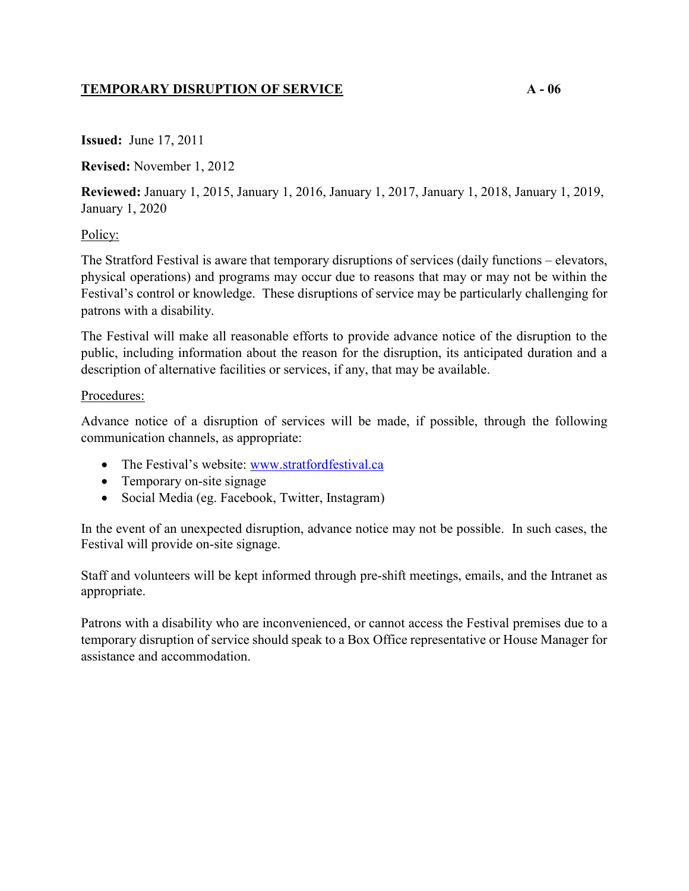# **TEMPORARY DISRUPTION OF SERVICE A - 06**

**Issued:** June 17, 2011

**Revised:** November 1, 2012

**Reviewed:** January 1, 2015, January 1, 2016, January 1, 2017, January 1, 2018, January 1, 2019, January 1, 2020

## Policy:

The Stratford Festival is aware that temporary disruptions of services (daily functions – elevators, physical operations) and programs may occur due to reasons that may or may not be within the Festival's control or knowledge. These disruptions of service may be particularly challenging for patrons with a disability.

The Festival will make all reasonable efforts to provide advance notice of the disruption to the public, including information about the reason for the disruption, its anticipated duration and a description of alternative facilities or services, if any, that may be available.

## Procedures:

Advance notice of a disruption of services will be made, if possible, through the following communication channels, as appropriate:

- The Festival's website: [www.stratfordfestival.ca](http://www.stratfordfestival.ca)
- Temporary on-site signage
- Social Media (eg. Facebook, Twitter, Instagram)

In the event of an unexpected disruption, advance notice may not be possible. In such cases, the Festival will provide on-site signage.

Staff and volunteers will be kept informed through pre-shift meetings, emails, and the Intranet as appropriate.

Patrons with a disability who are inconvenienced, or cannot access the Festival premises due to a temporary disruption of service should speak to a Box Office representative or House Manager for assistance and accommodation.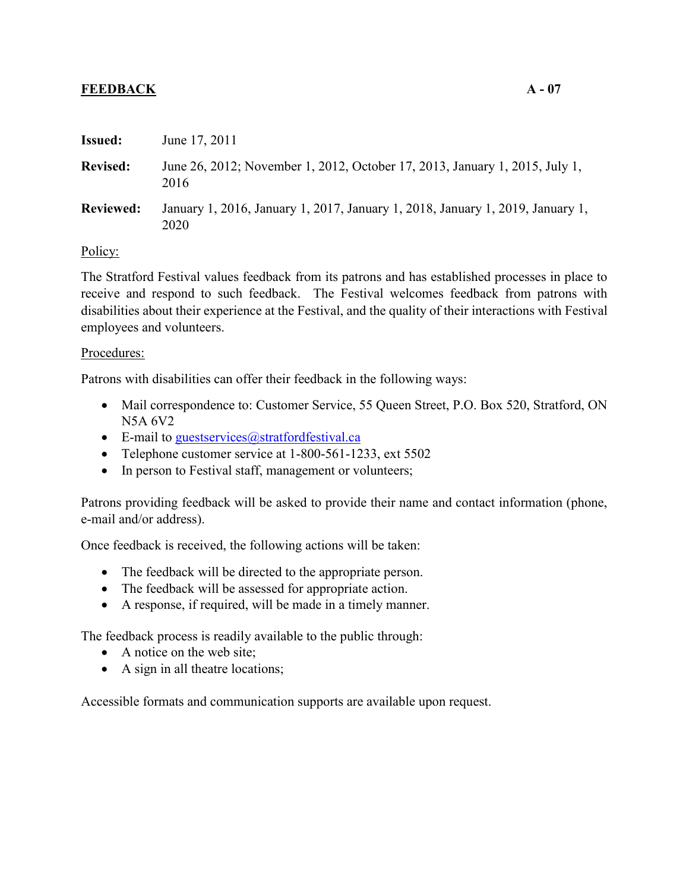## **FEEDBACK A - 07**

| <b>Issued:</b>   | June 17, 2011                                                                          |
|------------------|----------------------------------------------------------------------------------------|
| <b>Revised:</b>  | June 26, 2012; November 1, 2012, October 17, 2013, January 1, 2015, July 1,<br>2016    |
| <b>Reviewed:</b> | January 1, 2016, January 1, 2017, January 1, 2018, January 1, 2019, January 1,<br>2020 |
|                  |                                                                                        |

Policy:

The Stratford Festival values feedback from its patrons and has established processes in place to receive and respond to such feedback. The Festival welcomes feedback from patrons with disabilities about their experience at the Festival, and the quality of their interactions with Festival employees and volunteers.

#### Procedures:

Patrons with disabilities can offer their feedback in the following ways:

- Mail correspondence to: Customer Service, 55 Queen Street, P.O. Box 520, Stratford, ON N5A 6V2
- E-mail to guestservices  $@$ stratfordfestival.ca
- Telephone customer service at 1-800-561-1233, ext 5502
- In person to Festival staff, management or volunteers;

Patrons providing feedback will be asked to provide their name and contact information (phone, e-mail and/or address).

Once feedback is received, the following actions will be taken:

- The feedback will be directed to the appropriate person.
- The feedback will be assessed for appropriate action.
- A response, if required, will be made in a timely manner.

The feedback process is readily available to the public through:

- A notice on the web site;
- A sign in all theatre locations;

Accessible formats and communication supports are available upon request.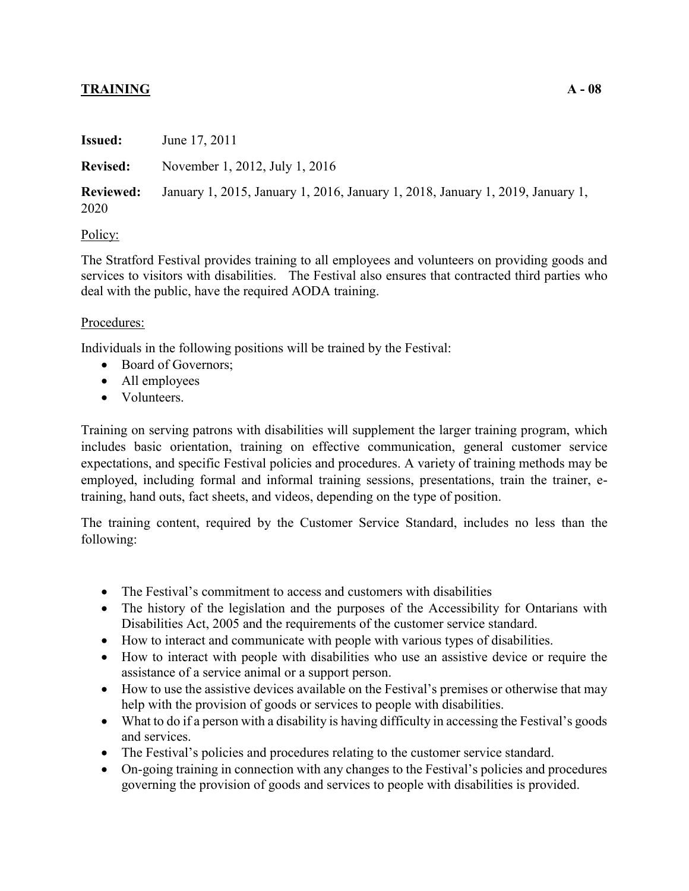# **TRAINING A - 08**

| <b>Issued:</b>           | June 17, 2011                                                                  |
|--------------------------|--------------------------------------------------------------------------------|
| <b>Revised:</b>          | November 1, 2012, July 1, 2016                                                 |
| <b>Reviewed:</b><br>2020 | January 1, 2015, January 1, 2016, January 1, 2018, January 1, 2019, January 1, |

### Policy:

The Stratford Festival provides training to all employees and volunteers on providing goods and services to visitors with disabilities. The Festival also ensures that contracted third parties who deal with the public, have the required AODA training.

### Procedures:

Individuals in the following positions will be trained by the Festival:

- Board of Governors;
- All employees
- Volunteers.

Training on serving patrons with disabilities will supplement the larger training program, which includes basic orientation, training on effective communication, general customer service expectations, and specific Festival policies and procedures. A variety of training methods may be employed, including formal and informal training sessions, presentations, train the trainer, etraining, hand outs, fact sheets, and videos, depending on the type of position.

The training content, required by the Customer Service Standard, includes no less than the following:

- The Festival's commitment to access and customers with disabilities
- The history of the legislation and the purposes of the Accessibility for Ontarians with Disabilities Act, 2005 and the requirements of the customer service standard.
- How to interact and communicate with people with various types of disabilities.
- How to interact with people with disabilities who use an assistive device or require the assistance of a service animal or a support person.
- How to use the assistive devices available on the Festival's premises or otherwise that may help with the provision of goods or services to people with disabilities.
- What to do if a person with a disability is having difficulty in accessing the Festival's goods and services.
- The Festival's policies and procedures relating to the customer service standard.
- On-going training in connection with any changes to the Festival's policies and procedures governing the provision of goods and services to people with disabilities is provided.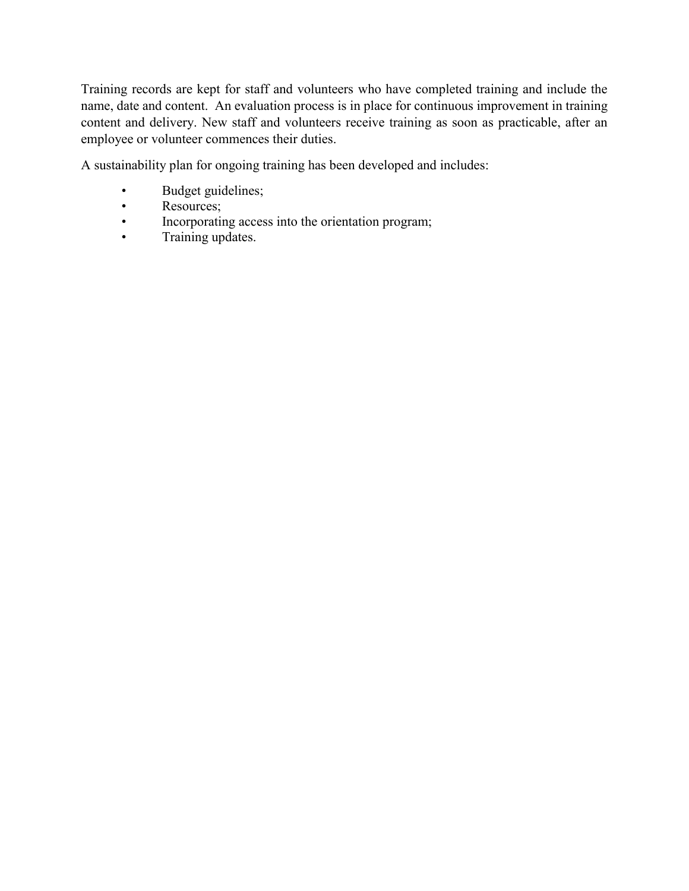Training records are kept for staff and volunteers who have completed training and include the name, date and content. An evaluation process is in place for continuous improvement in training content and delivery. New staff and volunteers receive training as soon as practicable, after an employee or volunteer commences their duties.

A sustainability plan for ongoing training has been developed and includes:

- Budget guidelines;
- Resources;
- Incorporating access into the orientation program;
- Training updates.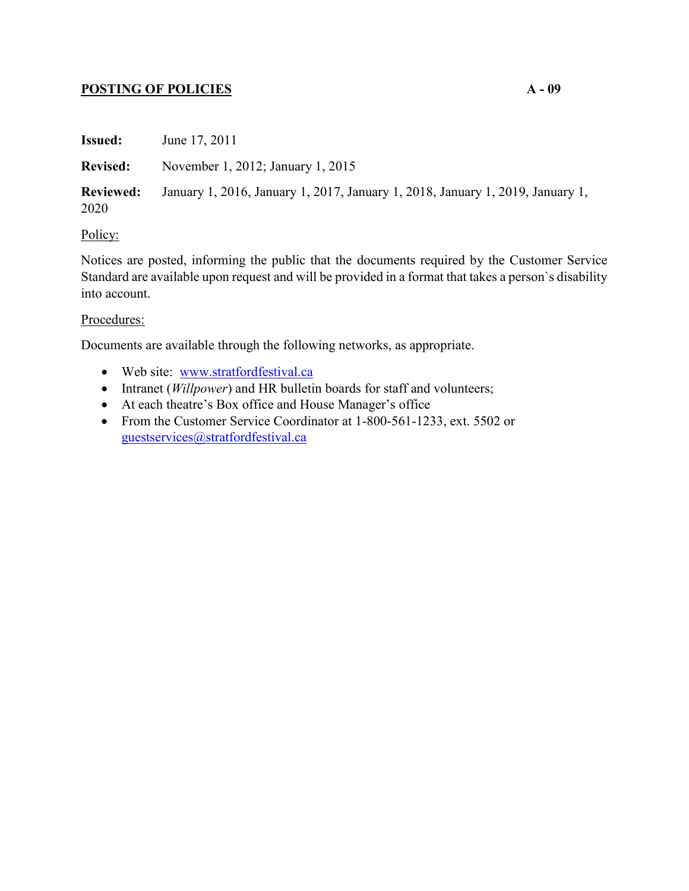## **POSTING OF POLICIES A - 09**

| <b>Issued:</b>           | June 17, 2011                                                                  |
|--------------------------|--------------------------------------------------------------------------------|
| <b>Revised:</b>          | November 1, 2012; January 1, 2015                                              |
| <b>Reviewed:</b><br>2020 | January 1, 2016, January 1, 2017, January 1, 2018, January 1, 2019, January 1, |
| - -                      |                                                                                |

### Policy:

Notices are posted, informing the public that the documents required by the Customer Service Standard are available upon request and will be provided in a format that takes a person`s disability into account.

### Procedures:

Documents are available through the following networks, as appropriate.

- Web site: [www.stratfordfestival.ca](http://www.stratfordfestival.ca)
- Intranet (*Willpower*) and HR bulletin boards for staff and volunteers;
- At each theatre's Box office and House Manager's office
- From the Customer Service Coordinator at 1-800-561-1233, ext. 5502 or [guestservices@stratfordfestival.ca](mailto:guestservices@stratfordfestival.ca)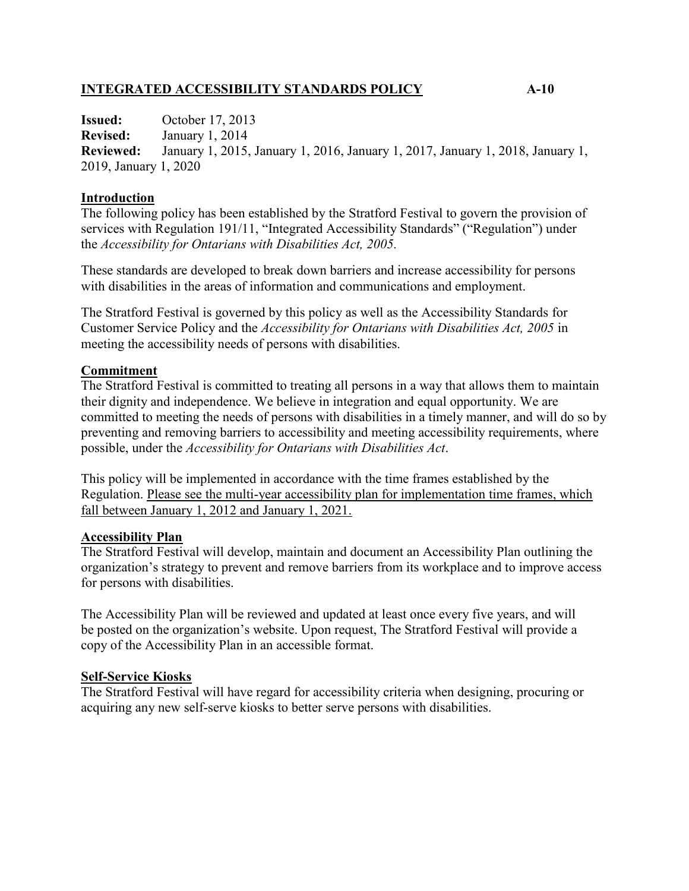## **INTEGRATED ACCESSIBILITY STANDARDS POLICY A-10**

**Issued:** October 17, 2013 **Revised:** January 1, 2014 **Reviewed:** January 1, 2015, January 1, 2016, January 1, 2017, January 1, 2018, January 1, 2019, January 1, 2020

#### **Introduction**

The following policy has been established by the Stratford Festival to govern the provision of services with Regulation 191/11, "Integrated Accessibility Standards" ("Regulation") under the *Accessibility for Ontarians with Disabilities Act, 2005.* 

These standards are developed to break down barriers and increase accessibility for persons with disabilities in the areas of information and communications and employment.

The Stratford Festival is governed by this policy as well as the Accessibility Standards for Customer Service Policy and the *Accessibility for Ontarians with Disabilities Act, 2005* in meeting the accessibility needs of persons with disabilities.

### **Commitment**

The Stratford Festival is committed to treating all persons in a way that allows them to maintain their dignity and independence. We believe in integration and equal opportunity. We are committed to meeting the needs of persons with disabilities in a timely manner, and will do so by preventing and removing barriers to accessibility and meeting accessibility requirements, where possible, under the *Accessibility for Ontarians with Disabilities Act*.

This policy will be implemented in accordance with the time frames established by the Regulation. Please see the multi-year accessibility plan for implementation time frames, which fall between January 1, 2012 and January 1, 2021.

#### **Accessibility Plan**

The Stratford Festival will develop, maintain and document an Accessibility Plan outlining the organization's strategy to prevent and remove barriers from its workplace and to improve access for persons with disabilities.

The Accessibility Plan will be reviewed and updated at least once every five years, and will be posted on the organization's website. Upon request, The Stratford Festival will provide a copy of the Accessibility Plan in an accessible format.

#### **Self-Service Kiosks**

The Stratford Festival will have regard for accessibility criteria when designing, procuring or acquiring any new self-serve kiosks to better serve persons with disabilities.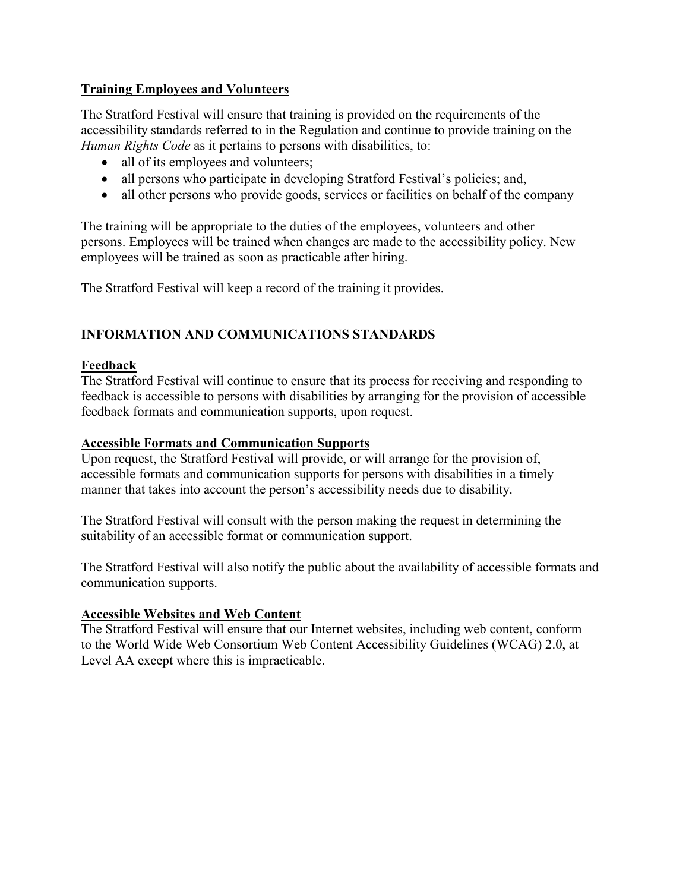## **Training Employees and Volunteers**

The Stratford Festival will ensure that training is provided on the requirements of the accessibility standards referred to in the Regulation and continue to provide training on the *Human Rights Code* as it pertains to persons with disabilities, to:

- all of its employees and volunteers;
- all persons who participate in developing Stratford Festival's policies; and,
- all other persons who provide goods, services or facilities on behalf of the company

The training will be appropriate to the duties of the employees, volunteers and other persons. Employees will be trained when changes are made to the accessibility policy. New employees will be trained as soon as practicable after hiring.

The Stratford Festival will keep a record of the training it provides.

# **INFORMATION AND COMMUNICATIONS STANDARDS**

## **Feedback**

The Stratford Festival will continue to ensure that its process for receiving and responding to feedback is accessible to persons with disabilities by arranging for the provision of accessible feedback formats and communication supports, upon request.

## **Accessible Formats and Communication Supports**

Upon request, the Stratford Festival will provide, or will arrange for the provision of, accessible formats and communication supports for persons with disabilities in a timely manner that takes into account the person's accessibility needs due to disability.

The Stratford Festival will consult with the person making the request in determining the suitability of an accessible format or communication support.

The Stratford Festival will also notify the public about the availability of accessible formats and communication supports.

## **Accessible Websites and Web Content**

The Stratford Festival will ensure that our Internet websites, including web content, conform to the World Wide Web Consortium Web Content Accessibility Guidelines (WCAG) 2.0, at Level AA except where this is impracticable.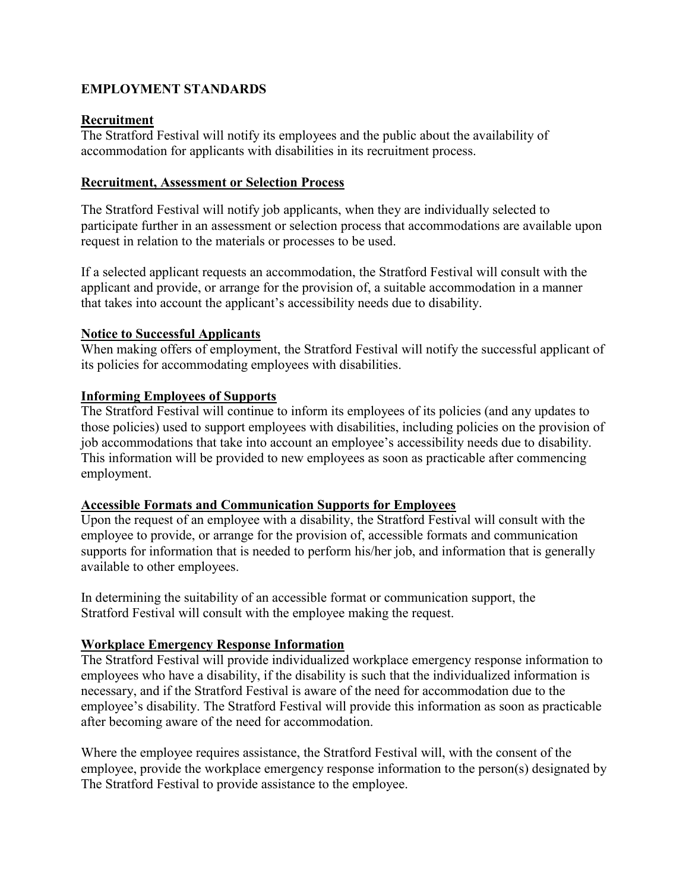# **EMPLOYMENT STANDARDS**

### **Recruitment**

The Stratford Festival will notify its employees and the public about the availability of accommodation for applicants with disabilities in its recruitment process.

#### **Recruitment, Assessment or Selection Process**

The Stratford Festival will notify job applicants, when they are individually selected to participate further in an assessment or selection process that accommodations are available upon request in relation to the materials or processes to be used.

If a selected applicant requests an accommodation, the Stratford Festival will consult with the applicant and provide, or arrange for the provision of, a suitable accommodation in a manner that takes into account the applicant's accessibility needs due to disability.

### **Notice to Successful Applicants**

When making offers of employment, the Stratford Festival will notify the successful applicant of its policies for accommodating employees with disabilities.

### **Informing Employees of Supports**

The Stratford Festival will continue to inform its employees of its policies (and any updates to those policies) used to support employees with disabilities, including policies on the provision of job accommodations that take into account an employee's accessibility needs due to disability. This information will be provided to new employees as soon as practicable after commencing employment.

## **Accessible Formats and Communication Supports for Employees**

Upon the request of an employee with a disability, the Stratford Festival will consult with the employee to provide, or arrange for the provision of, accessible formats and communication supports for information that is needed to perform his/her job, and information that is generally available to other employees.

In determining the suitability of an accessible format or communication support, the Stratford Festival will consult with the employee making the request.

## **Workplace Emergency Response Information**

The Stratford Festival will provide individualized workplace emergency response information to employees who have a disability, if the disability is such that the individualized information is necessary, and if the Stratford Festival is aware of the need for accommodation due to the employee's disability. The Stratford Festival will provide this information as soon as practicable after becoming aware of the need for accommodation.

Where the employee requires assistance, the Stratford Festival will, with the consent of the employee, provide the workplace emergency response information to the person(s) designated by The Stratford Festival to provide assistance to the employee.